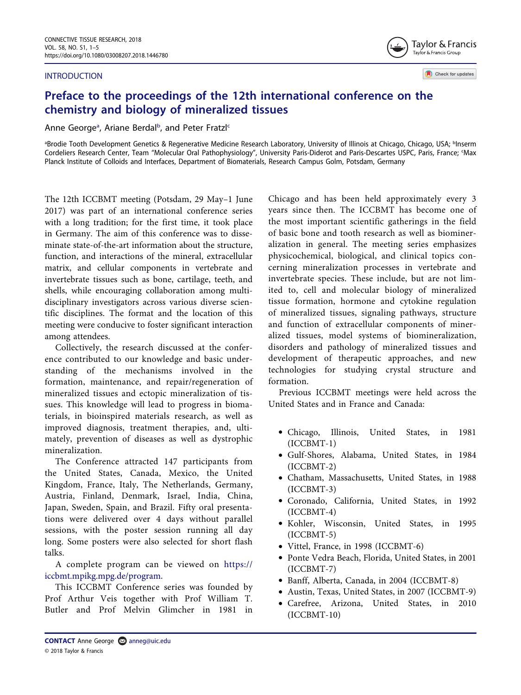#### **INTRODUCTION**



Check for updates

# Preface to the proceedings of the 12th international conference on the chemistry and biology of mineralized tissues

Anne George<sup>a</sup>, Ariane Berdal<sup>[b](#page-0-0)</sup>, and Peter Fratzl<sup>c</sup>

<span id="page-0-1"></span><span id="page-0-0"></span>ªBrodie Tooth Development Genetics & Regenerative Medicine Research Laboratory, University of Illinois at Chicago, Chicago, USA; <sup>b</sup>Inserm Cordeliers Research Center, Team "Molecular Oral Pathophysiology", University Paris-Diderot and Paris-Descartes USPC, Paris, France; <sup>c</sup> Max Planck Institute of Colloids and Interfaces, Department of Biomaterials, Research Campus Golm, Potsdam, Germany

The 12th ICCBMT meeting (Potsdam, 29 May–1 June 2017) was part of an international conference series with a long tradition; for the first time, it took place in Germany. The aim of this conference was to disseminate state-of-the-art information about the structure, function, and interactions of the mineral, extracellular matrix, and cellular components in vertebrate and invertebrate tissues such as bone, cartilage, teeth, and shells, while encouraging collaboration among multidisciplinary investigators across various diverse scientific disciplines. The format and the location of this meeting were conducive to foster significant interaction among attendees.

Collectively, the research discussed at the conference contributed to our knowledge and basic understanding of the mechanisms involved in the formation, maintenance, and repair/regeneration of mineralized tissues and ectopic mineralization of tissues. This knowledge will lead to progress in biomaterials, in bioinspired materials research, as well as improved diagnosis, treatment therapies, and, ultimately, prevention of diseases as well as dystrophic mineralization.

The Conference attracted 147 participants from the United States, Canada, Mexico, the United Kingdom, France, Italy, The Netherlands, Germany, Austria, Finland, Denmark, Israel, India, China, Japan, Sweden, Spain, and Brazil. Fifty oral presentations were delivered over 4 days without parallel sessions, with the poster session running all day long. Some posters were also selected for short flash talks.

A complete program can be viewed on [https://](https://iccbmt.mpikg.mpg.de/program) [iccbmt.mpikg.mpg.de/program](https://iccbmt.mpikg.mpg.de/program).

This ICCBMT Conference series was founded by Prof Arthur Veis together with Prof William T. Butler and Prof Melvin Glimcher in 1981 in Chicago and has been held approximately every 3 years since then. The ICCBMT has become one of the most important scientific gatherings in the field of basic bone and tooth research as well as biomineralization in general. The meeting series emphasizes physicochemical, biological, and clinical topics concerning mineralization processes in vertebrate and invertebrate species. These include, but are not limited to, cell and molecular biology of mineralized tissue formation, hormone and cytokine regulation of mineralized tissues, signaling pathways, structure and function of extracellular components of mineralized tissues, model systems of biomineralization, disorders and pathology of mineralized tissues and development of therapeutic approaches, and new technologies for studying crystal structure and formation.

Previous ICCBMT meetings were held across the United States and in France and Canada:

- Chicago, Illinois, United States, in 1981 (ICCBMT-1)
- Gulf-Shores, Alabama, United States, in 1984 (ICCBMT-2)
- Chatham, Massachusetts, United States, in 1988 (ICCBMT-3)
- Coronado, California, United States, in 1992 (ICCBMT-4)
- Kohler, Wisconsin, United States, in 1995 (ICCBMT-5)
- Vittel, France, in 1998 (ICCBMT-6)
- Ponte Vedra Beach, Florida, United States, in 2001 (ICCBMT-7)
- Banff, Alberta, Canada, in 2004 (ICCBMT-8)
- Austin, Texas, United States, in 2007 (ICCBMT-9)
- Carefree, Arizona, United States, in 2010 (ICCBMT-10)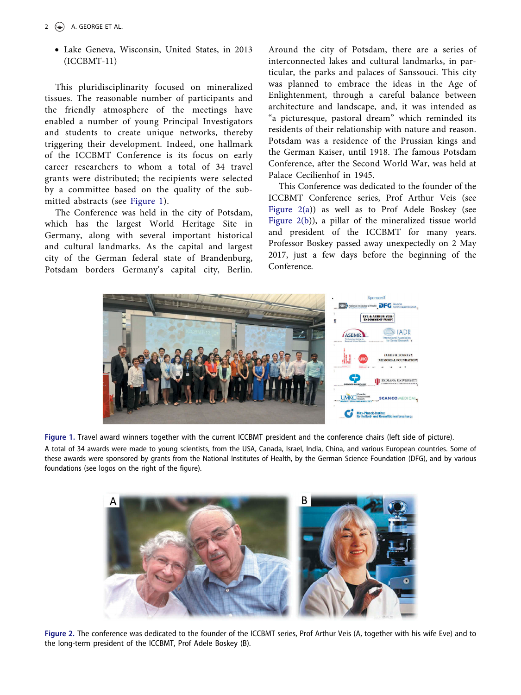- 2  $\left(\rightarrow\right)$  A. GEORGE ET AL.
	- Lake Geneva, Wisconsin, United States, in 2013 (ICCBMT-11)

This pluridisciplinarity focused on mineralized tissues. The reasonable number of participants and the friendly atmosphere of the meetings have enabled a number of young Principal Investigators and students to create unique networks, thereby triggering their development. Indeed, one hallmark of the ICCBMT Conference is its focus on early career researchers to whom a total of 34 travel grants were distributed; the recipients were selected by a committee based on the quality of the submitted abstracts (see [Figure 1](#page-1-0)).

The Conference was held in the city of Potsdam, which has the largest World Heritage Site in Germany, along with several important historical and cultural landmarks. As the capital and largest city of the German federal state of Brandenburg, Potsdam borders Germany's capital city, Berlin.

Around the city of Potsdam, there are a series of interconnected lakes and cultural landmarks, in particular, the parks and palaces of Sanssouci. This city was planned to embrace the ideas in the Age of Enlightenment, through a careful balance between architecture and landscape, and, it was intended as "a picturesque, pastoral dream" which reminded its residents of their relationship with nature and reason. Potsdam was a residence of the Prussian kings and the German Kaiser, until 1918. The famous Potsdam Conference, after the Second World War, was held at Palace Cecilienhof in 1945.

This Conference was dedicated to the founder of the ICCBMT Conference series, Prof Arthur Veis (see [Figure 2\(a\)](#page-1-1)) as well as to Prof Adele Boskey (see [Figure 2\(b](#page-1-1))), a pillar of the mineralized tissue world and president of the ICCBMT for many years. Professor Boskey passed away unexpectedly on 2 May 2017, just a few days before the beginning of the Conference.



<span id="page-1-0"></span>Figure 1. Travel award winners together with the current ICCBMT president and the conference chairs (left side of picture). A total of 34 awards were made to young scientists, from the USA, Canada, Israel, India, China, and various European countries. Some of these awards were sponsored by grants from the National Institutes of Health, by the German Science Foundation (DFG), and by various foundations (see logos on the right of the figure).

<span id="page-1-1"></span>

Figure 2. The conference was dedicated to the founder of the ICCBMT series, Prof Arthur Veis (A, together with his wife Eve) and to the long-term president of the ICCBMT, Prof Adele Boskey (B).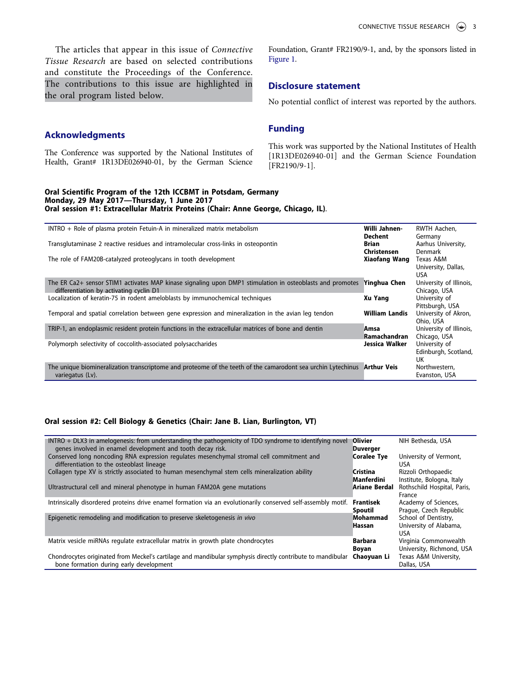The articles that appear in this issue of Connective Tissue Research are based on selected contributions and constitute the Proceedings of the Conference. The contributions to this issue are highlighted in the oral program listed below.

Foundation, Grant# FR2190/9-1, and, by the sponsors listed in [Figure 1](#page-1-0).

## Disclosure statement

No potential conflict of interest was reported by the authors.

## Acknowledgments

The Conference was supported by the National Institutes of Health, Grant# 1R13DE026940-01, by the German Science

#### Funding

This work was supported by the National Institutes of Health [1R13DE026940-01] and the German Science Foundation [FR2190/9-1].

#### Oral Scientific Program of the 12th ICCBMT in Potsdam, Germany Monday, 29 May 2017—Thursday, 1 June 2017 Oral session #1: Extracellular Matrix Proteins (Chair: Anne George, Chicago, IL).

| INTRO + Role of plasma protein Fetuin-A in mineralized matrix metabolism                                                                             | Willi Jahnen-<br><b>Dechent</b> | RWTH Aachen,<br>Germany                 |
|------------------------------------------------------------------------------------------------------------------------------------------------------|---------------------------------|-----------------------------------------|
| Transglutaminase 2 reactive residues and intramolecular cross-links in osteopontin                                                                   | <b>Brian</b>                    | Aarhus University,                      |
| The role of FAM20B-catalyzed proteoglycans in tooth development                                                                                      | Christensen<br>Xiaofang Wang    | Denmark<br>Texas A&M                    |
|                                                                                                                                                      |                                 | University, Dallas,<br><b>USA</b>       |
| The ER Ca2+ sensor STIM1 activates MAP kinase signaling upon DMP1 stimulation in osteoblasts and promotes<br>differentiation by activating cyclin D1 | Yinghua Chen                    | University of Illinois,<br>Chicago, USA |
| Localization of keratin-75 in rodent ameloblasts by immunochemical techniques                                                                        | Xu Yang                         | University of<br>Pittsburgh, USA        |
| Temporal and spatial correlation between gene expression and mineralization in the avian leg tendon                                                  | <b>William Landis</b>           | University of Akron,<br>Ohio, USA       |
| TRIP-1, an endoplasmic resident protein functions in the extracellular matrices of bone and dentin                                                   | Amsa<br>Ramachandran            | University of Illinois,<br>Chicago, USA |
| Polymorph selectivity of coccolith-associated polysaccharides                                                                                        | Jessica Walker                  | University of<br>Edinburgh, Scotland,   |
|                                                                                                                                                      |                                 | UK                                      |
| The unique biomineralization transcriptome and proteome of the teeth of the camarodont sea urchin Lytechinus Arthur Veis<br>variegatus (Lv).         |                                 | Northwestern,<br>Evanston, USA          |

#### Oral session #2: Cell Biology & Genetics (Chair: Jane B. Lian, Burlington, VT)

| INTRO + DLX3 in amelogenesis: from understanding the pathogenicity of TDO syndrome to identifying novel<br>genes involved in enamel development and tooth decay risk. | <b>Olivier</b><br><b>Duverger</b> | NIH Bethesda, USA                                     |
|-----------------------------------------------------------------------------------------------------------------------------------------------------------------------|-----------------------------------|-------------------------------------------------------|
| Conserved long noncoding RNA expression regulates mesenchymal stromal cell commitment and<br>differentiation to the osteoblast lineage                                | <b>Coralee Tye</b>                | University of Vermont,<br>USA                         |
| Collagen type XV is strictly associated to human mesenchymal stem cells mineralization ability                                                                        | <b>Cristina</b><br>Manferdini     | Rizzoli Orthopaedic<br>Institute, Bologna, Italy      |
| Ultrastructural cell and mineral phenotype in human FAM20A gene mutations                                                                                             | Ariane Berdal                     | Rothschild Hospital, Paris,<br>France                 |
| Intrinsically disordered proteins drive enamel formation via an evolutionarily conserved self-assembly motif.                                                         | Frantisek<br>Spoutil              | Academy of Sciences,<br>Prague, Czech Republic        |
| Epigenetic remodeling and modification to preserve skeletogenesis in vivo                                                                                             | Mohammad<br>Hassan                | School of Dentistry,<br>University of Alabama,<br>USA |
| Matrix vesicle miRNAs regulate extracellular matrix in growth plate chondrocytes                                                                                      | <b>Barbara</b><br>Boyan           | Virginia Commonwealth<br>University, Richmond, USA    |
| Chondrocytes originated from Meckel's cartilage and mandibular symphysis directly contribute to mandibular<br>bone formation during early development                 | Chaoyuan Li                       | Texas A&M University,<br>Dallas, USA                  |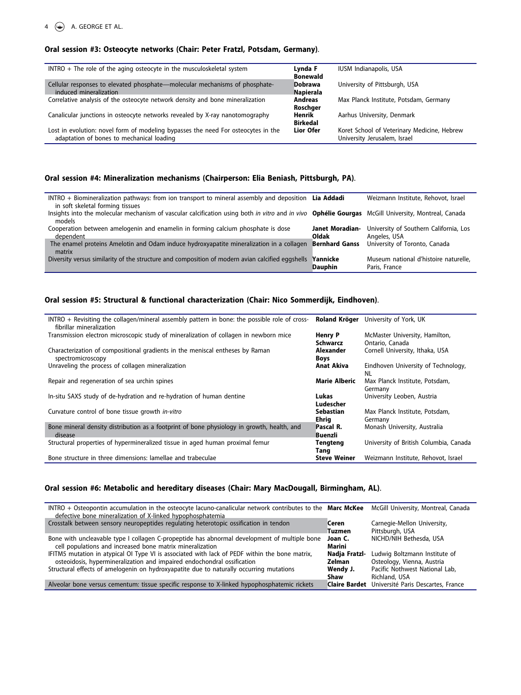## $4 \quad \circledast$  A. GEORGE ET AL.

#### Oral session #3: Osteocyte networks (Chair: Peter Fratzl, Potsdam, Germany).

| $INTRO + The role of the aging osteocyte in the musculoskeletal system$                                                        | Lynda F<br><b>Bonewald</b>         | <b>IUSM Indianapolis, USA</b>                                               |
|--------------------------------------------------------------------------------------------------------------------------------|------------------------------------|-----------------------------------------------------------------------------|
| Cellular responses to elevated phosphate—molecular mechanisms of phosphate-<br>induced mineralization                          | <b>Dobrawa</b><br><b>Napierala</b> | University of Pittsburgh, USA                                               |
| Correlative analysis of the osteocyte network density and bone mineralization                                                  | <b>Andreas</b><br>Roschger         | Max Planck Institute, Potsdam, Germany                                      |
| Canalicular junctions in osteocyte networks revealed by X-ray nanotomography                                                   | Henrik<br>Birkedal                 | Aarhus University, Denmark                                                  |
| Lost in evolution: novel form of modeling bypasses the need For osteocytes in the<br>adaptation of bones to mechanical loading | Lior Ofer                          | Koret School of Veterinary Medicine, Hebrew<br>University Jerusalem, Israel |

#### Oral session #4: Mineralization mechanisms (Chairperson: Elia Beniash, Pittsburgh, PA).

| INTRO + Biomineralization pathways: from ion transport to mineral assembly and deposition Lia Addadi<br>in soft skeletal forming tissues                      |                                 | Weizmann Institute, Rehovot, Israel                    |
|---------------------------------------------------------------------------------------------------------------------------------------------------------------|---------------------------------|--------------------------------------------------------|
| Insights into the molecular mechanism of vascular calcification using both in vitro and in vivo Ophélie Gourgas McGill University, Montreal, Canada<br>models |                                 |                                                        |
| Cooperation between amelogenin and enamelin in forming calcium phosphate is dose<br>dependent                                                                 | <b>Janet Moradian-</b><br>Oldak | University of Southern California, Los<br>Angeles, USA |
| The enamel proteins Amelotin and Odam induce hydroxyapatite mineralization in a collagen<br>matrix                                                            | <b>Bernhard Ganss</b>           | University of Toronto, Canada                          |
| Diversity versus similarity of the structure and composition of modern avian calcified eggshells                                                              | Yannicke<br><b>Dauphin</b>      | Museum national d'histoire naturelle,<br>Paris, France |

## Oral session #5: Structural & functional characterization (Chair: Nico Sommerdijk, Eindhoven).

| $INTRO + Revisited$ the collagen/mineral assembly pattern in bone: the possible role of cross- <b>Roland Kröger</b><br>fibrillar mineralization |                                   | University of York, UK                            |
|-------------------------------------------------------------------------------------------------------------------------------------------------|-----------------------------------|---------------------------------------------------|
| Transmission electron microscopic study of mineralization of collagen in newborn mice                                                           | <b>Henry P</b><br><b>Schwarcz</b> | McMaster University, Hamilton,<br>Ontario, Canada |
| Characterization of compositional gradients in the meniscal entheses by Raman<br>spectromicroscopy                                              | Alexander<br><b>Boys</b>          | Cornell University, Ithaka, USA                   |
| Unraveling the process of collagen mineralization                                                                                               | Anat Akiva                        | Eindhoven University of Technology,<br>NL.        |
| Repair and regeneration of sea urchin spines                                                                                                    | <b>Marie Alberic</b>              | Max Planck Institute, Potsdam,<br>Germany         |
| In-situ SAXS study of de-hydration and re-hydration of human dentine                                                                            | Lukas<br>Ludescher                | University Leoben, Austria                        |
| Curvature control of bone tissue growth <i>in-vitro</i>                                                                                         | Sebastian<br>Ehrig                | Max Planck Institute, Potsdam,<br>Germany         |
| Bone mineral density distribution as a footprint of bone physiology in growth, health, and<br>disease                                           | Pascal R.<br>Buenzli              | Monash University, Australia                      |
| Structural properties of hypermineralized tissue in aged human proximal femur                                                                   | <b>Tengteng</b><br>Tang           | University of British Columbia, Canada            |
| Bone structure in three dimensions: lamellae and trabeculae                                                                                     | <b>Steve Weiner</b>               | Weizmann Institute, Rehovot, Israel               |

#### Oral session #6: Metabolic and hereditary diseases (Chair: Mary MacDougall, Birmingham, AL).

| INTRO + Osteopontin accumulation in the osteocyte lacuno-canalicular network contributes to the Marc McKee McGill University, Montreal, Canada<br>defective bone mineralization of X-linked hypophosphatemia |                                |                                                             |
|--------------------------------------------------------------------------------------------------------------------------------------------------------------------------------------------------------------|--------------------------------|-------------------------------------------------------------|
| Crosstalk between sensory neuropeptides regulating heterotopic ossification in tendon                                                                                                                        | Ceren<br>Tuzmen                | Carnegie-Mellon University,<br>Pittsburgh, USA              |
| Bone with uncleavable type I collagen C-propeptide has abnormal development of multiple bone<br>cell populations and increased bone matrix mineralization                                                    | Joan C.<br>Marini              | NICHD/NIH Bethesda, USA                                     |
| IFITM5 mutation in atypical OI Type VI is associated with lack of PEDF within the bone matrix,<br>osteoidosis, hypermineralization and impaired endochondral ossification                                    | Nadja Fratzl-<br><b>Zelman</b> | Ludwig Boltzmann Institute of<br>Osteology, Vienna, Austria |
| Structural effects of amelogenin on hydroxyapatite due to naturally occurring mutations                                                                                                                      | Wendy J.<br>Shaw               | Pacific Nothwest National Lab,<br>Richland, USA             |
| Alveolar bone versus cementum: tissue specific response to X-linked hypophosphatemic rickets                                                                                                                 |                                | Claire Bardet Université Paris Descartes, France            |